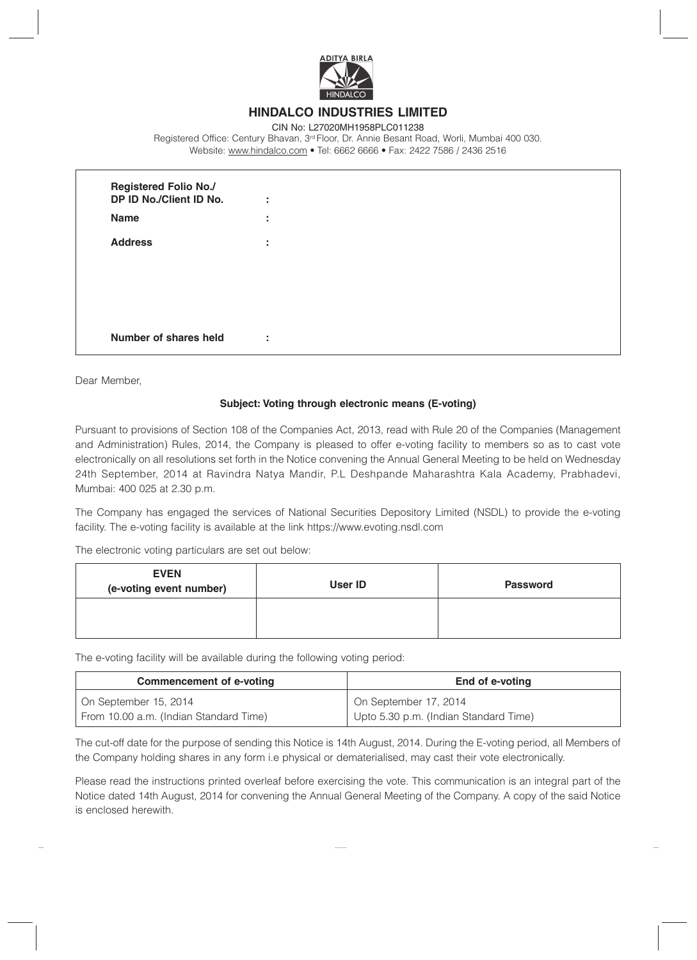

## **HINDALCO INDUSTRIES LIMITED**

CIN No: L27020MH1958PLC011238 Registered Office: Century Bhavan, 3<sup>rd</sup> Floor, Dr. Annie Besant Road, Worli, Mumbai 400 030. Website: www.hindalco.com • Tel: 6662 6666 • Fax: 2422 7586 / 2436 2516

| <b>Registered Folio No./</b><br>DP ID No./Client ID No.<br><b>Name</b> | ÷<br>÷       |  |  |
|------------------------------------------------------------------------|--------------|--|--|
| <b>Address</b>                                                         | $\mathbf{r}$ |  |  |
|                                                                        |              |  |  |
|                                                                        |              |  |  |
|                                                                        |              |  |  |
| Number of shares held                                                  | ٠<br>$\sim$  |  |  |

Dear Member,

## **Subject: Voting through electronic means (E-voting)**

Pursuant to provisions of Section 108 of the Companies Act, 2013, read with Rule 20 of the Companies (Management and Administration) Rules, 2014, the Company is pleased to offer e-voting facility to members so as to cast vote electronically on all resolutions set forth in the Notice convening the Annual General Meeting to be held on Wednesday 24th September, 2014 at Ravindra Natya Mandir, P.L Deshpande Maharashtra Kala Academy, Prabhadevi, Mumbai: 400 025 at 2.30 p.m.

The Company has engaged the services of National Securities Depository Limited (NSDL) to provide the e-voting facility. The e-voting facility is available at the link https://www.evoting.nsdl.com

The electronic voting particulars are set out below:

| <b>EVEN</b><br>(e-voting event number) | User ID | <b>Password</b> |
|----------------------------------------|---------|-----------------|
|                                        |         |                 |

The e-voting facility will be available during the following voting period:

| <b>Commencement of e-voting</b>        | End of e-voting                       |  |  |
|----------------------------------------|---------------------------------------|--|--|
| On September 15, 2014                  | On September 17, 2014                 |  |  |
| From 10.00 a.m. (Indian Standard Time) | Upto 5.30 p.m. (Indian Standard Time) |  |  |

The cut-off date for the purpose of sending this Notice is 14th August, 2014. During the E-voting period, all Members of the Company holding shares in any form i.e physical or dematerialised, may cast their vote electronically.

Please read the instructions printed overleaf before exercising the vote. This communication is an integral part of the Notice dated 14th August, 2014 for convening the Annual General Meeting of the Company. A copy of the said Notice is enclosed herewith.

.......